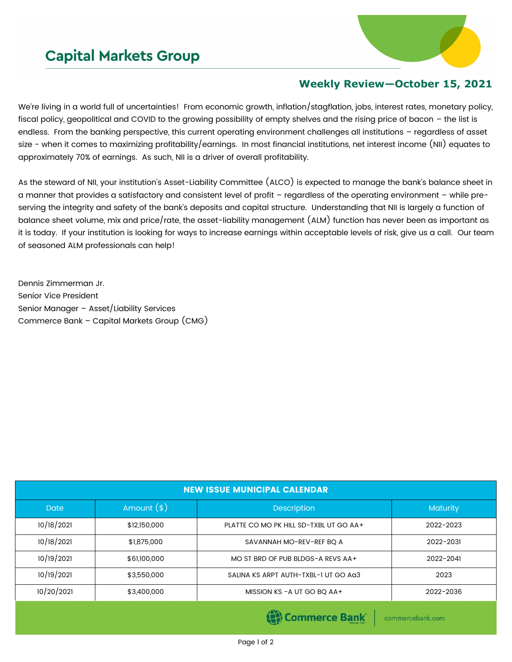## **Capital Markets Group**



## **Weekly Review—October 15, 2021**

We're living in a world full of uncertainties! From economic growth, inflation/stagflation, jobs, interest rates, monetary policy, fiscal policy, geopolitical and COVID to the growing possibility of empty shelves and the rising price of bacon – the list is endless. From the banking perspective, this current operating environment challenges all institutions – regardless of asset size - when it comes to maximizing profitability/earnings. In most financial institutions, net interest income (NII) equates to approximately 70% of earnings. As such, NII is a driver of overall profitability.

As the steward of NII, your institution's Asset-Liability Committee (ALCO) is expected to manage the bank's balance sheet in a manner that provides a satisfactory and consistent level of profit – regardless of the operating environment – while preserving the integrity and safety of the bank's deposits and capital structure. Understanding that NII is largely a function of balance sheet volume, mix and price/rate, the asset-liability management (ALM) function has never been as important as it is today. If your institution is looking for ways to increase earnings within acceptable levels of risk, give us a call. Our team of seasoned ALM professionals can help!

Dennis Zimmerman Jr. Senior Vice President Senior Manager – Asset/Liability Services Commerce Bank – Capital Markets Group (CMG)

| <b>NEW ISSUE MUNICIPAL CALENDAR</b> |              |                                        |                 |  |  |  |
|-------------------------------------|--------------|----------------------------------------|-----------------|--|--|--|
| <b>Date</b>                         | Amount $(*)$ | <b>Description</b>                     | <b>Maturity</b> |  |  |  |
| 10/18/2021                          | \$12,150,000 | PLATTE CO MO PK HILL SD-TXBL UT GO AA+ | 2022-2023       |  |  |  |
| 10/18/2021                          | \$1,875,000  | SAVANNAH MO-REV-REF BQ A               | 2022-2031       |  |  |  |
| 10/19/2021                          | \$61,100,000 | MO ST BRD OF PUB BLDGS-A REVS AA+      | 2022-2041       |  |  |  |
| 10/19/2021                          | \$3,550,000  | SALINA KS ARPT AUTH-TXBL-1 UT GO AG3   | 2023            |  |  |  |
| 10/20/2021                          | \$3,400,000  | MISSION KS - A UT GO BQ AA+            | 2022-2036       |  |  |  |
|                                     |              |                                        |                 |  |  |  |

(B) Commerce Bank

commercebank.com